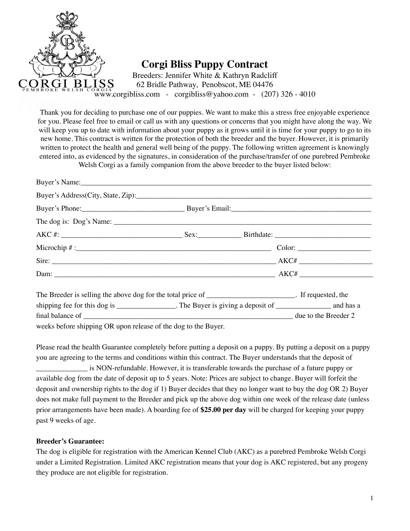

Thank you for deciding to purchase one of our puppies. We want to make this a stress free enjoyable experience for you. Please feel free to email or call us with any questions or concerns that you might have along the way. We will keep you up to date with information about your puppy as it grows until it is time for your puppy to go to its new home. This contract is written for the protection of both the breeder and the buyer. However, it is primarily written to protect the health and general well being of the puppy. The following written agreement is knowingly entered into, as evidenced by the signatures, in consideration of the purchase/transfer of one purebred Pembroke

Welsh Corgi as a family companion from the above breeder to the buyer listed below:

| The Breeder is selling the above dog for the total price of __________________________. If requested, the   |  |  |  |
|-------------------------------------------------------------------------------------------------------------|--|--|--|
| shipping fee for this dog is _________________. The Buyer is giving a deposit of ________________ and has a |  |  |  |
|                                                                                                             |  |  |  |

weeks before shipping OR upon release of the dog to the Buyer.

Please read the health Guarantee completely before putting a deposit on a puppy. By putting a deposit on a puppy you are agreeing to the terms and conditions within this contract. The Buyer understands that the deposit of \_\_\_\_\_\_\_\_\_\_\_\_\_\_ is NON-refundable. However, it is transferable towards the purchase of a future puppy or available dog from the date of deposit up to 5 years. Note: Prices are subject to change. Buyer will forfeit the deposit and ownership rights to the dog if 1) Buyer decides that they no longer want to buy the dog OR 2) Buyer does not make full payment to the Breeder and pick up the above dog within one week of the release date (unless prior arrangements have been made). A boarding fee of **\$25.00 per day** will be charged for keeping your puppy past 9 weeks of age.

## **Breeder's Guarantee:**

The dog is eligible for registration with the American Kennel Club (AKC) as a purebred Pembroke Welsh Corgi under a Limited Registration. Limited AKC registration means that your dog is AKC registered, but any progeny they produce are not eligible for registration.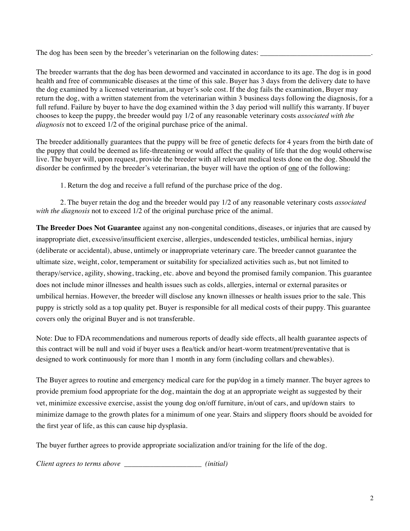The dog has been seen by the breeder's veterinarian on the following dates:

The breeder warrants that the dog has been dewormed and vaccinated in accordance to its age. The dog is in good health and free of communicable diseases at the time of this sale. Buyer has 3 days from the delivery date to have the dog examined by a licensed veterinarian, at buyer's sole cost. If the dog fails the examination, Buyer may return the dog, with a written statement from the veterinarian within 3 business days following the diagnosis, for a full refund. Failure by buyer to have the dog examined within the 3 day period will nullify this warranty. If buyer chooses to keep the puppy, the breeder would pay 1/2 of any reasonable veterinary costs *associated with the diagnosis* not to exceed 1/2 of the original purchase price of the animal.

The breeder additionally guarantees that the puppy will be free of genetic defects for 4 years from the birth date of the puppy that could be deemed as life-threatening or would affect the quality of life that the dog would otherwise live. The buyer will, upon request, provide the breeder with all relevant medical tests done on the dog. Should the disorder be confirmed by the breeder's veterinarian, the buyer will have the option of one of the following:

1. Return the dog and receive a full refund of the purchase price of the dog.

2. The buyer retain the dog and the breeder would pay 1/2 of any reasonable veterinary costs *associated with the diagnosis* not to exceed 1/2 of the original purchase price of the animal.

**The Breeder Does Not Guarantee** against any non-congenital conditions, diseases, or injuries that are caused by inappropriate diet, excessive/insufficient exercise, allergies, undescended testicles, umbilical hernias, injury (deliberate or accidental), abuse, untimely or inappropriate veterinary care. The breeder cannot guarantee the ultimate size, weight, color, temperament or suitability for specialized activities such as, but not limited to therapy/service, agility, showing, tracking, etc. above and beyond the promised family companion. This guarantee does not include minor illnesses and health issues such as colds, allergies, internal or external parasites or umbilical hernias. However, the breeder will disclose any known illnesses or health issues prior to the sale. This puppy is strictly sold as a top quality pet. Buyer is responsible for all medical costs of their puppy. This guarantee covers only the original Buyer and is not transferable.

Note: Due to FDA recommendations and numerous reports of deadly side effects, all health guarantee aspects of this contract will be null and void if buyer uses a flea/tick and/or heart-worm treatment/preventative that is designed to work continuously for more than 1 month in any form (including collars and chewables).

The Buyer agrees to routine and emergency medical care for the pup/dog in a timely manner. The buyer agrees to provide premium food appropriate for the dog, maintain the dog at an appropriate weight as suggested by their vet, minimize excessive exercise, assist the young dog on/off furniture, in/out of cars, and up/down stairs to minimize damage to the growth plates for a minimum of one year. Stairs and slippery floors should be avoided for the first year of life, as this can cause hip dysplasia.

The buyer further agrees to provide appropriate socialization and/or training for the life of the dog.

*Client agrees to terms above \_\_\_\_\_\_\_\_\_\_\_\_\_\_\_\_\_\_\_\_\_ (initial)*